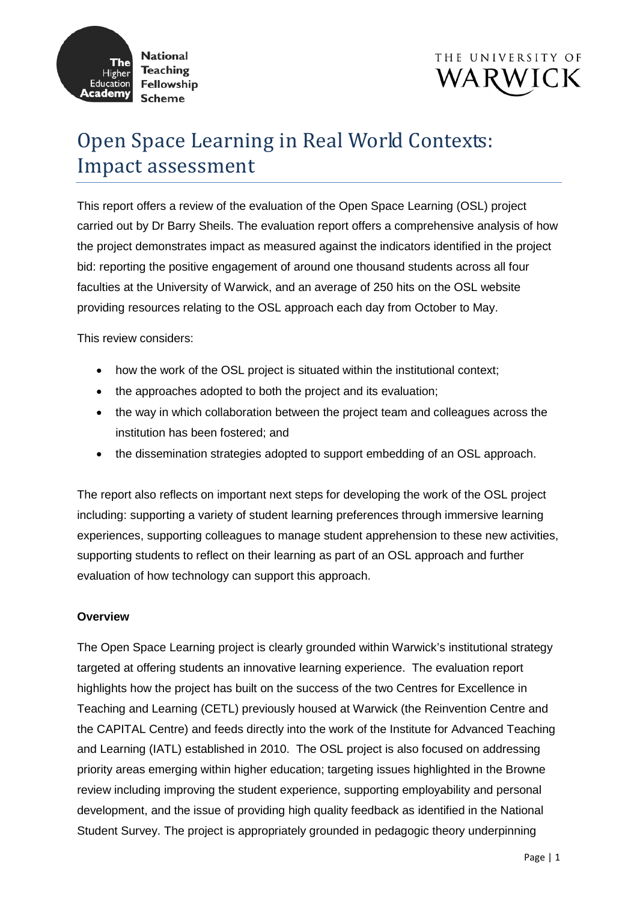



# Open Space Learning in Real World Contexts: Impact assessment

This report offers a review of the evaluation of the Open Space Learning (OSL) project carried out by Dr Barry Sheils. The evaluation report offers a comprehensive analysis of how the project demonstrates impact as measured against the indicators identified in the project bid: reporting the positive engagement of around one thousand students across all four faculties at the University of Warwick, and an average of 250 hits on the OSL website providing resources relating to the OSL approach each day from October to May.

This review considers:

- how the work of the OSL project is situated within the institutional context;
- the approaches adopted to both the project and its evaluation;
- the way in which collaboration between the project team and colleagues across the institution has been fostered; and
- the dissemination strategies adopted to support embedding of an OSL approach.

The report also reflects on important next steps for developing the work of the OSL project including: supporting a variety of student learning preferences through immersive learning experiences, supporting colleagues to manage student apprehension to these new activities, supporting students to reflect on their learning as part of an OSL approach and further evaluation of how technology can support this approach.

## **Overview**

The Open Space Learning project is clearly grounded within Warwick's institutional strategy targeted at offering students an innovative learning experience. The evaluation report highlights how the project has built on the success of the two Centres for Excellence in Teaching and Learning (CETL) previously housed at Warwick (the Reinvention Centre and the CAPITAL Centre) and feeds directly into the work of the Institute for Advanced Teaching and Learning (IATL) established in 2010. The OSL project is also focused on addressing priority areas emerging within higher education; targeting issues highlighted in the Browne review including improving the student experience, supporting employability and personal development, and the issue of providing high quality feedback as identified in the National Student Survey. The project is appropriately grounded in pedagogic theory underpinning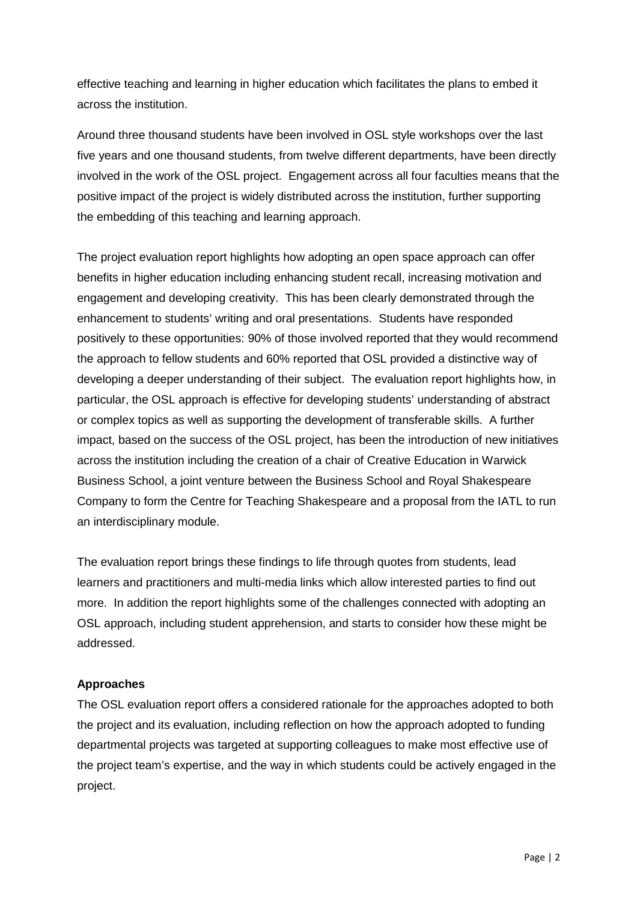effective teaching and learning in higher education which facilitates the plans to embed it across the institution.

Around three thousand students have been involved in OSL style workshops over the last five years and one thousand students, from twelve different departments, have been directly involved in the work of the OSL project. Engagement across all four faculties means that the positive impact of the project is widely distributed across the institution, further supporting the embedding of this teaching and learning approach.

The project evaluation report highlights how adopting an open space approach can offer benefits in higher education including enhancing student recall, increasing motivation and engagement and developing creativity. This has been clearly demonstrated through the enhancement to students' writing and oral presentations. Students have responded positively to these opportunities: 90% of those involved reported that they would recommend the approach to fellow students and 60% reported that OSL provided a distinctive way of developing a deeper understanding of their subject. The evaluation report highlights how, in particular, the OSL approach is effective for developing students' understanding of abstract or complex topics as well as supporting the development of transferable skills. A further impact, based on the success of the OSL project, has been the introduction of new initiatives across the institution including the creation of a chair of Creative Education in Warwick Business School, a joint venture between the Business School and Royal Shakespeare Company to form the Centre for Teaching Shakespeare and a proposal from the IATL to run an interdisciplinary module.

The evaluation report brings these findings to life through quotes from students, lead learners and practitioners and multi-media links which allow interested parties to find out more. In addition the report highlights some of the challenges connected with adopting an OSL approach, including student apprehension, and starts to consider how these might be addressed.

## **Approaches**

The OSL evaluation report offers a considered rationale for the approaches adopted to both the project and its evaluation, including reflection on how the approach adopted to funding departmental projects was targeted at supporting colleagues to make most effective use of the project team's expertise, and the way in which students could be actively engaged in the project.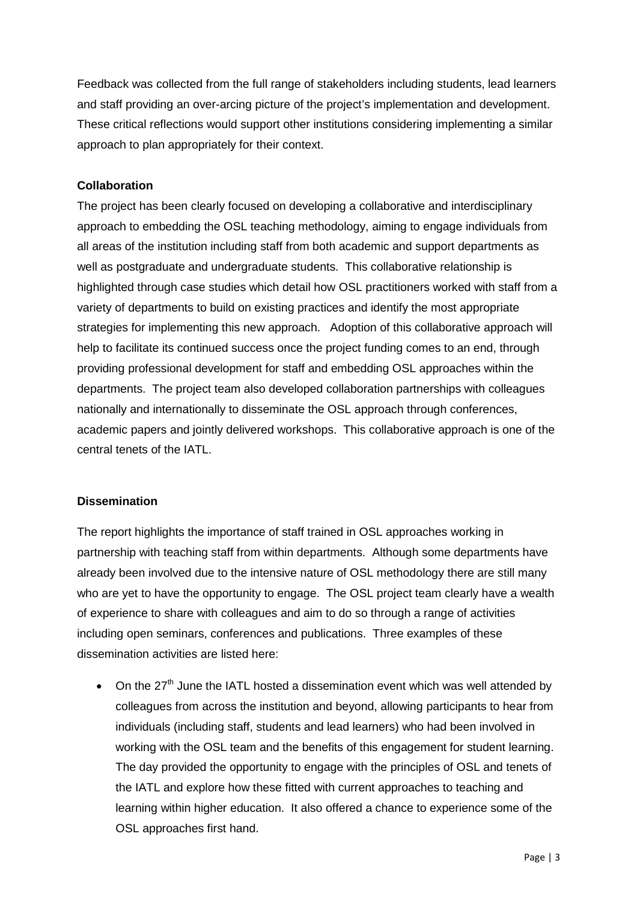Feedback was collected from the full range of stakeholders including students, lead learners and staff providing an over-arcing picture of the project's implementation and development. These critical reflections would support other institutions considering implementing a similar approach to plan appropriately for their context.

## **Collaboration**

The project has been clearly focused on developing a collaborative and interdisciplinary approach to embedding the OSL teaching methodology, aiming to engage individuals from all areas of the institution including staff from both academic and support departments as well as postgraduate and undergraduate students. This collaborative relationship is highlighted through case studies which detail how OSL practitioners worked with staff from a variety of departments to build on existing practices and identify the most appropriate strategies for implementing this new approach. Adoption of this collaborative approach will help to facilitate its continued success once the project funding comes to an end, through providing professional development for staff and embedding OSL approaches within the departments. The project team also developed collaboration partnerships with colleagues nationally and internationally to disseminate the OSL approach through conferences, academic papers and jointly delivered workshops. This collaborative approach is one of the central tenets of the IATL.

## **Dissemination**

The report highlights the importance of staff trained in OSL approaches working in partnership with teaching staff from within departments. Although some departments have already been involved due to the intensive nature of OSL methodology there are still many who are yet to have the opportunity to engage. The OSL project team clearly have a wealth of experience to share with colleagues and aim to do so through a range of activities including open seminars, conferences and publications. Three examples of these dissemination activities are listed here:

 $\bullet$  On the 27<sup>th</sup> June the IATL hosted a dissemination event which was well attended by colleagues from across the institution and beyond, allowing participants to hear from individuals (including staff, students and lead learners) who had been involved in working with the OSL team and the benefits of this engagement for student learning. The day provided the opportunity to engage with the principles of OSL and tenets of the IATL and explore how these fitted with current approaches to teaching and learning within higher education. It also offered a chance to experience some of the OSL approaches first hand.